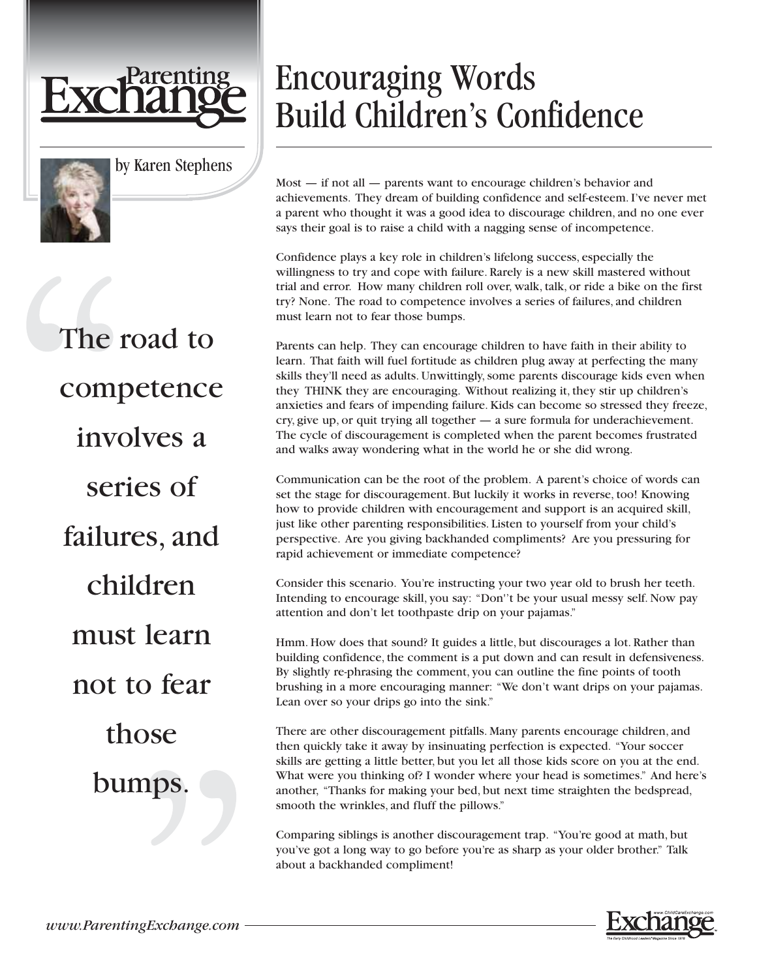



by Karen Stephens

The road to competence involves a series of failures, and children must learn not to fear those bumps.

## Encouraging Words Build Children's Confidence

Most — if not all — parents want to encourage children's behavior and achievements. They dream of building confidence and self-esteem. I've never met a parent who thought it was a good idea to discourage children, and no one ever says their goal is to raise a child with a nagging sense of incompetence.

Confidence plays a key role in children's lifelong success, especially the willingness to try and cope with failure. Rarely is a new skill mastered without trial and error. How many children roll over, walk, talk, or ride a bike on the first try? None. The road to competence involves a series of failures, and children must learn not to fear those bumps.

Parents can help. They can encourage children to have faith in their ability to learn. That faith will fuel fortitude as children plug away at perfecting the many skills they'll need as adults. Unwittingly, some parents discourage kids even when they THINK they are encouraging. Without realizing it, they stir up children's anxieties and fears of impending failure. Kids can become so stressed they freeze, cry, give up, or quit trying all together — a sure formula for underachievement. The cycle of discouragement is completed when the parent becomes frustrated and walks away wondering what in the world he or she did wrong.

Communication can be the root of the problem. A parent's choice of words can set the stage for discouragement. But luckily it works in reverse, too! Knowing how to provide children with encouragement and support is an acquired skill, just like other parenting responsibilities. Listen to yourself from your child's perspective. Are you giving backhanded compliments? Are you pressuring for rapid achievement or immediate competence?

Consider this scenario. You're instructing your two year old to brush her teeth. Intending to encourage skill, you say: "Don''t be your usual messy self. Now pay attention and don't let toothpaste drip on your pajamas."

Hmm. How does that sound? It guides a little, but discourages a lot. Rather than building confidence, the comment is a put down and can result in defensiveness. By slightly re-phrasing the comment, you can outline the fine points of tooth brushing in a more encouraging manner: "We don't want drips on your pajamas. Lean over so your drips go into the sink."

There are other discouragement pitfalls. Many parents encourage children, and then quickly take it away by insinuating perfection is expected. "Your soccer skills are getting a little better, but you let all those kids score on you at the end. What were you thinking of? I wonder where your head is sometimes." And here's another, "Thanks for making your bed, but next time straighten the bedspread, smooth the wrinkles, and fluff the pillows."

Comparing siblings is another discouragement trap. "You're good at math, but you've got a long way to go before you're as sharp as your older brother." Talk about a backhanded compliment!